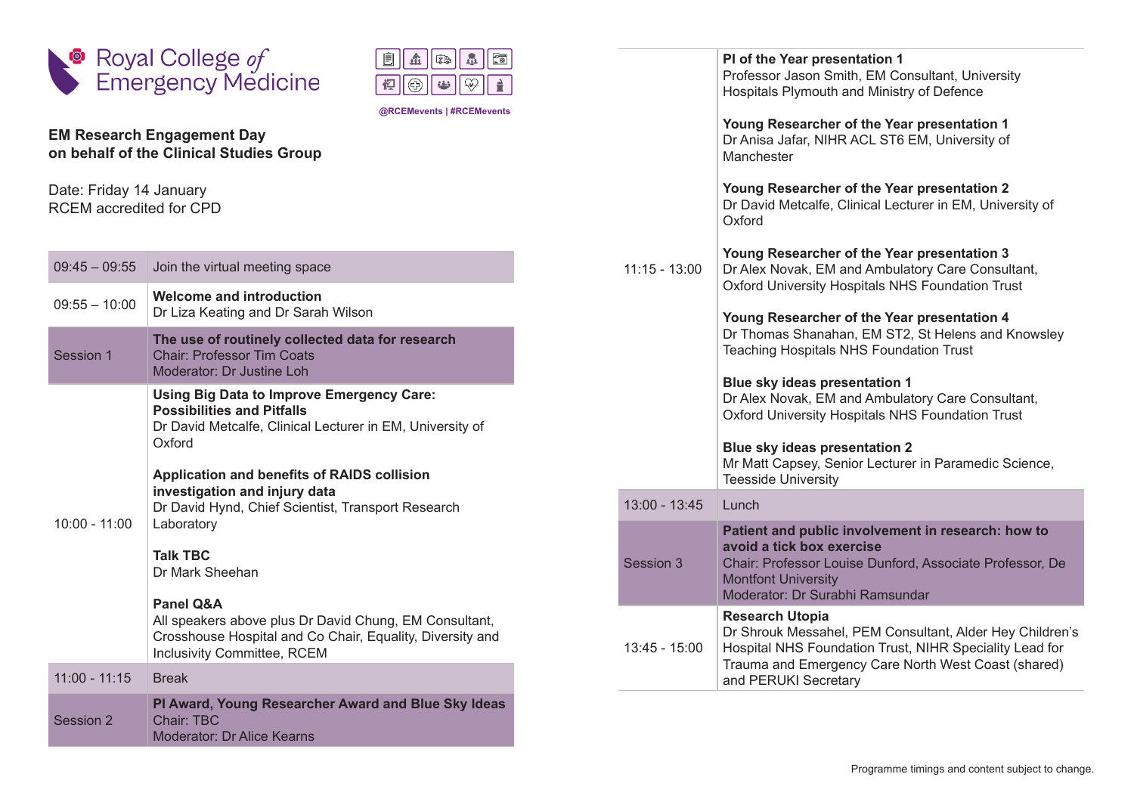



**@RCEMevents | #RCEMevents**

## **EM Research Engagement Day on behalf of the Clinical Studies Group**

Date: Friday 14 January RCEM accredited for CPD

| $09:45 - 09:55$ | Join the virtual meeting space                                                                                                                                                                                                                                                                                                                                                                                                                                                                                     |
|-----------------|--------------------------------------------------------------------------------------------------------------------------------------------------------------------------------------------------------------------------------------------------------------------------------------------------------------------------------------------------------------------------------------------------------------------------------------------------------------------------------------------------------------------|
| $09:55 - 10:00$ | <b>Welcome and introduction</b><br>Dr Liza Keating and Dr Sarah Wilson                                                                                                                                                                                                                                                                                                                                                                                                                                             |
| Session 1       | The use of routinely collected data for research<br><b>Chair: Professor Tim Coats</b><br>Moderator: Dr Justine Loh                                                                                                                                                                                                                                                                                                                                                                                                 |
| $10:00 - 11:00$ | Using Big Data to Improve Emergency Care:<br><b>Possibilities and Pitfalls</b><br>Dr David Metcalfe, Clinical Lecturer in EM, University of<br>Oxford<br>Application and benefits of RAIDS collision<br>investigation and injury data<br>Dr David Hynd, Chief Scientist, Transport Research<br>Laboratory<br><b>Talk TBC</b><br>Dr Mark Sheehan<br>Panel O&A<br>All speakers above plus Dr David Chung, EM Consultant,<br>Crosshouse Hospital and Co Chair, Equality, Diversity and<br>Inclusivity Committee, RCEM |
| $11:00 - 11:15$ | <b>Break</b>                                                                                                                                                                                                                                                                                                                                                                                                                                                                                                       |
| Session 2       | PI Award, Young Researcher Award and Blue Sky Ideas<br>Chair <sup>-</sup> TBC<br><b>Moderator: Dr Alice Kearns</b>                                                                                                                                                                                                                                                                                                                                                                                                 |

|                 | PI of the Year presentation 1<br>Professor Jason Smith, EM Consultant, University<br>Hospitals Plymouth and Ministry of Defence                                                                                              |
|-----------------|------------------------------------------------------------------------------------------------------------------------------------------------------------------------------------------------------------------------------|
|                 | Young Researcher of the Year presentation 1<br>Dr Anisa Jafar, NIHR ACL ST6 EM, University of<br>Manchester                                                                                                                  |
|                 | Young Researcher of the Year presentation 2<br>Dr David Metcalfe, Clinical Lecturer in EM, University of<br>Oxford                                                                                                           |
| $11:15 - 13:00$ | Young Researcher of the Year presentation 3<br>Dr Alex Novak, EM and Ambulatory Care Consultant,<br>Oxford University Hospitals NHS Foundation Trust                                                                         |
|                 | Young Researcher of the Year presentation 4<br>Dr Thomas Shanahan, EM ST2, St Helens and Knowsley<br><b>Teaching Hospitals NHS Foundation Trust</b>                                                                          |
|                 | Blue sky ideas presentation 1<br>Dr Alex Novak, EM and Ambulatory Care Consultant,<br>Oxford University Hospitals NHS Foundation Trust                                                                                       |
|                 | Blue sky ideas presentation 2<br>Mr Matt Capsey, Senior Lecturer in Paramedic Science,<br><b>Teesside University</b>                                                                                                         |
| $13:00 - 13:45$ | Lunch                                                                                                                                                                                                                        |
| Session 3       | Patient and public involvement in research: how to<br>avoid a tick box exercise<br>Chair: Professor Louise Dunford, Associate Professor, De<br><b>Montfont University</b><br>Moderator: Dr Surabhi Ramsundar                 |
| 13:45 - 15:00   | <b>Research Utopia</b><br>Dr Shrouk Messahel, PEM Consultant, Alder Hey Children's<br>Hospital NHS Foundation Trust, NIHR Speciality Lead for<br>Trauma and Emergency Care North West Coast (shared)<br>and PERUKI Secretary |